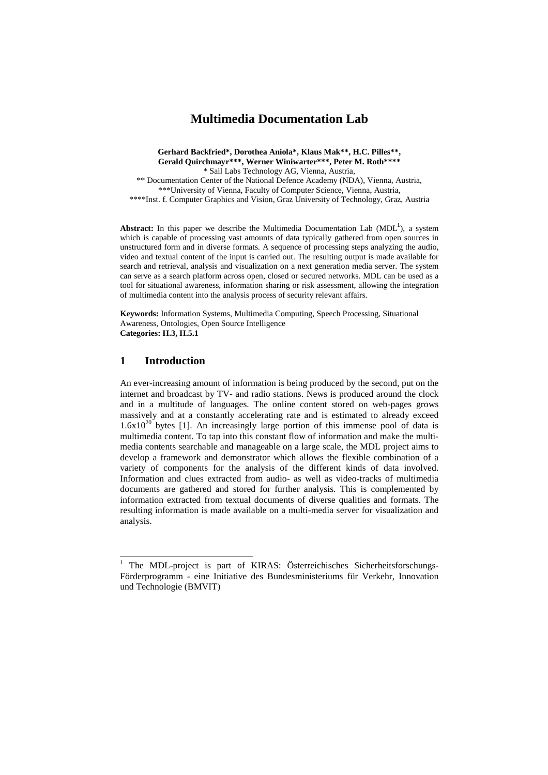# **Multimedia Documentation Lab**

**Gerhard Backfried\*, Dorothea Aniola\*, Klaus Mak\*\*, H.C. Pilles\*\*, Gerald Quirchmayr\*\*\*, Werner Winiwarter\*\*\*, Peter M. Roth\*\*\*\***  \* Sail Labs Technology AG, Vienna, Austria, \*\* Documentation Center of the National Defence Academy (NDA), Vienna, Austria, \*\*\*University of Vienna, Faculty of Computer Science, Vienna, Austria,

\*\*\*\*Inst. f. Computer Graphics and Vision, Graz University of Technology, Graz, Austria

Abstract: In this paper we describe the Multimedia Documentation Lab (MDL<sup>1</sup>), a system which is capable of processing vast amounts of data typically gathered from open sources in unstructured form and in diverse formats. A sequence of processing steps analyzing the audio, video and textual content of the input is carried out. The resulting output is made available for search and retrieval, analysis and visualization on a next generation media server. The system can serve as a search platform across open, closed or secured networks. MDL can be used as a tool for situational awareness, information sharing or risk assessment, allowing the integration of multimedia content into the analysis process of security relevant affairs.

**Keywords:** Information Systems, Multimedia Computing, Speech Processing, Situational Awareness, Ontologies, Open Source Intelligence **Categories: H.3, H.5.1** 

# **1 Introduction**

-

An ever-increasing amount of information is being produced by the second, put on the internet and broadcast by TV- and radio stations. News is produced around the clock and in a multitude of languages. The online content stored on web-pages grows massively and at a constantly accelerating rate and is estimated to already exceed  $1.6x10^{20}$  bytes [1]. An increasingly large portion of this immense pool of data is multimedia content. To tap into this constant flow of information and make the multimedia contents searchable and manageable on a large scale, the MDL project aims to develop a framework and demonstrator which allows the flexible combination of a variety of components for the analysis of the different kinds of data involved. Information and clues extracted from audio- as well as video-tracks of multimedia documents are gathered and stored for further analysis. This is complemented by information extracted from textual documents of diverse qualities and formats. The resulting information is made available on a multi-media server for visualization and analysis.

<sup>1</sup> The MDL-project is part of KIRAS: Österreichisches Sicherheitsforschungs-Förderprogramm - eine Initiative des Bundesministeriums für Verkehr, Innovation und Technologie (BMVIT)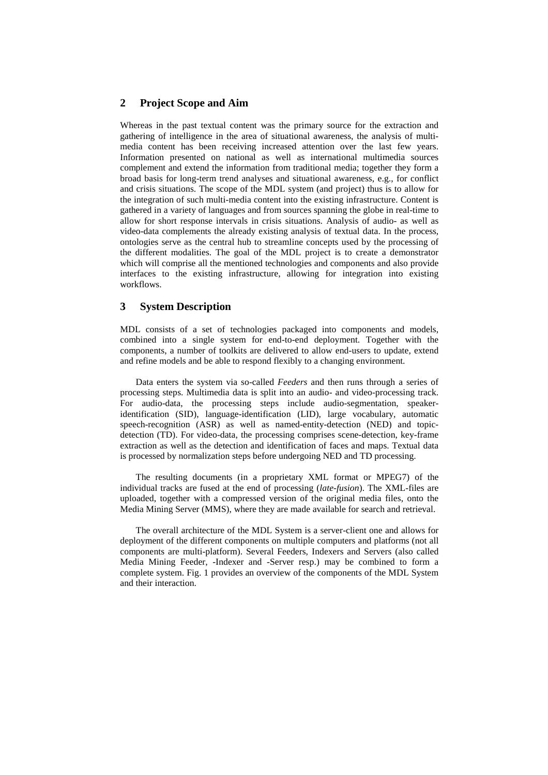## **2 Project Scope and Aim**

Whereas in the past textual content was the primary source for the extraction and gathering of intelligence in the area of situational awareness, the analysis of multimedia content has been receiving increased attention over the last few years. Information presented on national as well as international multimedia sources complement and extend the information from traditional media; together they form a broad basis for long-term trend analyses and situational awareness, e.g., for conflict and crisis situations. The scope of the MDL system (and project) thus is to allow for the integration of such multi-media content into the existing infrastructure. Content is gathered in a variety of languages and from sources spanning the globe in real-time to allow for short response intervals in crisis situations. Analysis of audio- as well as video-data complements the already existing analysis of textual data. In the process, ontologies serve as the central hub to streamline concepts used by the processing of the different modalities. The goal of the MDL project is to create a demonstrator which will comprise all the mentioned technologies and components and also provide interfaces to the existing infrastructure, allowing for integration into existing workflows.

## **3 System Description**

MDL consists of a set of technologies packaged into components and models, combined into a single system for end-to-end deployment. Together with the components, a number of toolkits are delivered to allow end-users to update, extend and refine models and be able to respond flexibly to a changing environment.

Data enters the system via so-called *Feeders* and then runs through a series of processing steps. Multimedia data is split into an audio- and video-processing track. For audio-data, the processing steps include audio-segmentation, speakeridentification (SID), language-identification (LID), large vocabulary, automatic speech-recognition (ASR) as well as named-entity-detection (NED) and topicdetection (TD). For video-data, the processing comprises scene-detection, key-frame extraction as well as the detection and identification of faces and maps. Textual data is processed by normalization steps before undergoing NED and TD processing.

The resulting documents (in a proprietary XML format or MPEG7) of the individual tracks are fused at the end of processing (*late-fusion*). The XML-files are uploaded, together with a compressed version of the original media files, onto the Media Mining Server (MMS), where they are made available for search and retrieval.

The overall architecture of the MDL System is a server-client one and allows for deployment of the different components on multiple computers and platforms (not all components are multi-platform). Several Feeders, Indexers and Servers (also called Media Mining Feeder, -Indexer and -Server resp.) may be combined to form a complete system. Fig. 1 provides an overview of the components of the MDL System and their interaction.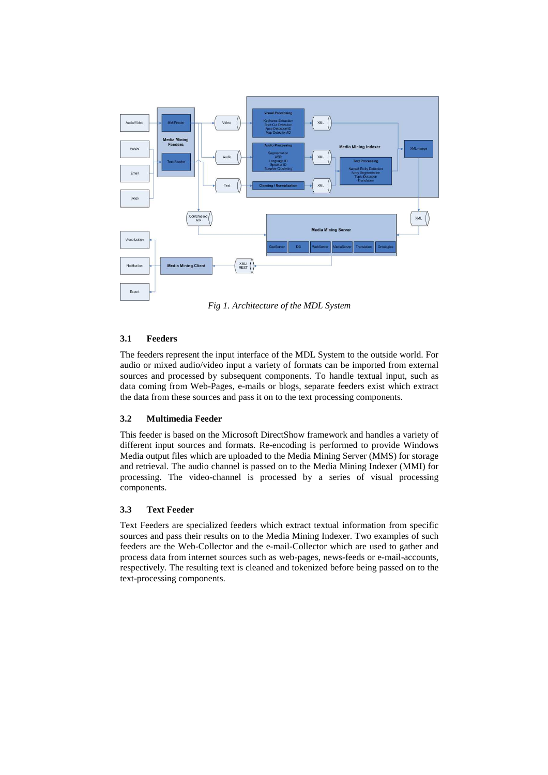

*Fig 1. Architecture of the MDL System* 

## **3.1 Feeders**

The feeders represent the input interface of the MDL System to the outside world. For audio or mixed audio/video input a variety of formats can be imported from external sources and processed by subsequent components. To handle textual input, such as data coming from Web-Pages, e-mails or blogs, separate feeders exist which extract the data from these sources and pass it on to the text processing components.

## **3.2 Multimedia Feeder**

This feeder is based on the Microsoft DirectShow framework and handles a variety of different input sources and formats. Re-encoding is performed to provide Windows Media output files which are uploaded to the Media Mining Server (MMS) for storage and retrieval. The audio channel is passed on to the Media Mining Indexer (MMI) for processing. The video-channel is processed by a series of visual processing components.

## **3.3 Text Feeder**

Text Feeders are specialized feeders which extract textual information from specific sources and pass their results on to the Media Mining Indexer. Two examples of such feeders are the Web-Collector and the e-mail-Collector which are used to gather and process data from internet sources such as web-pages, news-feeds or e-mail-accounts, respectively. The resulting text is cleaned and tokenized before being passed on to the text-processing components.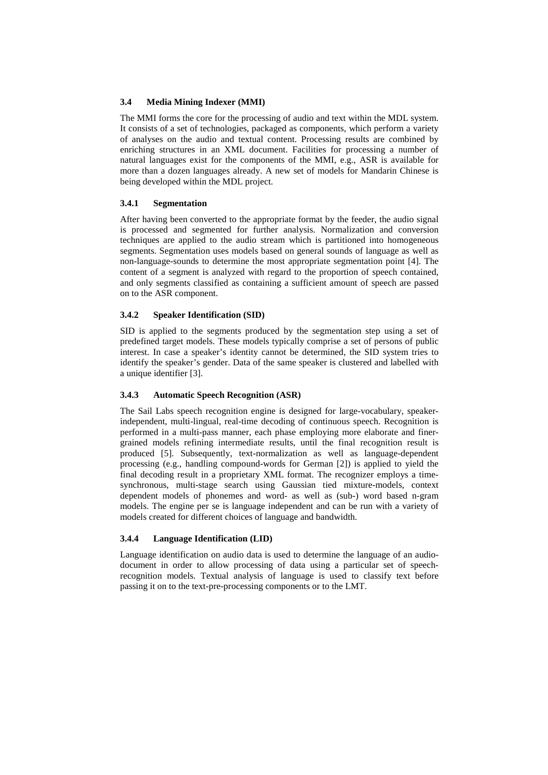#### **3.4 Media Mining Indexer (MMI)**

The MMI forms the core for the processing of audio and text within the MDL system. It consists of a set of technologies, packaged as components, which perform a variety of analyses on the audio and textual content. Processing results are combined by enriching structures in an XML document. Facilities for processing a number of natural languages exist for the components of the MMI, e.g., ASR is available for more than a dozen languages already. A new set of models for Mandarin Chinese is being developed within the MDL project.

#### **3.4.1 Segmentation**

After having been converted to the appropriate format by the feeder, the audio signal is processed and segmented for further analysis. Normalization and conversion techniques are applied to the audio stream which is partitioned into homogeneous segments. Segmentation uses models based on general sounds of language as well as non-language-sounds to determine the most appropriate segmentation point [4]. The content of a segment is analyzed with regard to the proportion of speech contained, and only segments classified as containing a sufficient amount of speech are passed on to the ASR component.

#### **3.4.2 Speaker Identification (SID)**

SID is applied to the segments produced by the segmentation step using a set of predefined target models. These models typically comprise a set of persons of public interest. In case a speaker's identity cannot be determined, the SID system tries to identify the speaker's gender. Data of the same speaker is clustered and labelled with a unique identifier [3].

## **3.4.3 Automatic Speech Recognition (ASR)**

The Sail Labs speech recognition engine is designed for large-vocabulary, speakerindependent, multi-lingual, real-time decoding of continuous speech. Recognition is performed in a multi-pass manner, each phase employing more elaborate and finergrained models refining intermediate results, until the final recognition result is produced [5]. Subsequently, text-normalization as well as language-dependent processing (e.g., handling compound-words for German [2]) is applied to yield the final decoding result in a proprietary XML format. The recognizer employs a timesynchronous, multi-stage search using Gaussian tied mixture-models, context dependent models of phonemes and word- as well as (sub-) word based n-gram models. The engine per se is language independent and can be run with a variety of models created for different choices of language and bandwidth.

## **3.4.4 Language Identification (LID)**

Language identification on audio data is used to determine the language of an audiodocument in order to allow processing of data using a particular set of speechrecognition models. Textual analysis of language is used to classify text before passing it on to the text-pre-processing components or to the LMT.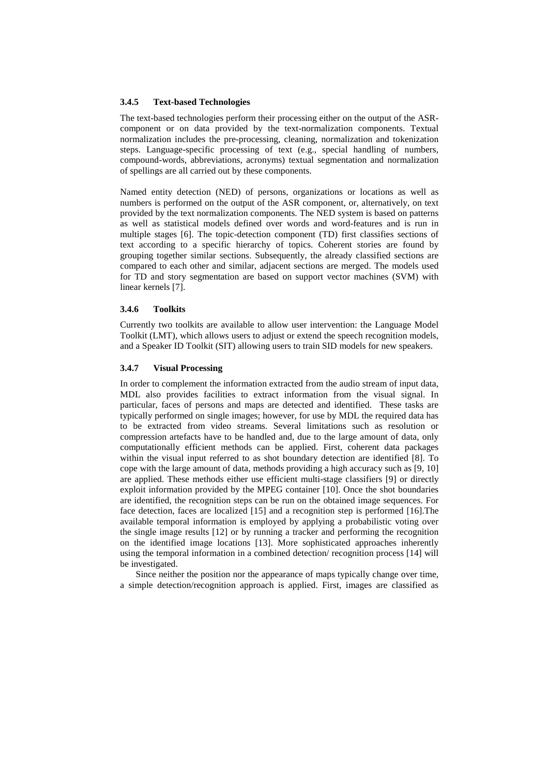#### **3.4.5 Text-based Technologies**

The text-based technologies perform their processing either on the output of the ASRcomponent or on data provided by the text-normalization components. Textual normalization includes the pre-processing, cleaning, normalization and tokenization steps. Language-specific processing of text (e.g., special handling of numbers, compound-words, abbreviations, acronyms) textual segmentation and normalization of spellings are all carried out by these components.

Named entity detection (NED) of persons, organizations or locations as well as numbers is performed on the output of the ASR component, or, alternatively, on text provided by the text normalization components. The NED system is based on patterns as well as statistical models defined over words and word-features and is run in multiple stages [6]. The topic-detection component (TD) first classifies sections of text according to a specific hierarchy of topics. Coherent stories are found by grouping together similar sections. Subsequently, the already classified sections are compared to each other and similar, adjacent sections are merged. The models used for TD and story segmentation are based on support vector machines (SVM) with linear kernels [7].

#### **3.4.6 Toolkits**

Currently two toolkits are available to allow user intervention: the Language Model Toolkit (LMT), which allows users to adjust or extend the speech recognition models, and a Speaker ID Toolkit (SIT) allowing users to train SID models for new speakers.

### **3.4.7 Visual Processing**

In order to complement the information extracted from the audio stream of input data, MDL also provides facilities to extract information from the visual signal. In particular, faces of persons and maps are detected and identified. These tasks are typically performed on single images; however, for use by MDL the required data has to be extracted from video streams. Several limitations such as resolution or compression artefacts have to be handled and, due to the large amount of data, only computationally efficient methods can be applied. First, coherent data packages within the visual input referred to as shot boundary detection are identified [8]. To cope with the large amount of data, methods providing a high accuracy such as [9, 10] are applied. These methods either use efficient multi-stage classifiers [9] or directly exploit information provided by the MPEG container [10]. Once the shot boundaries are identified, the recognition steps can be run on the obtained image sequences. For face detection, faces are localized [15] and a recognition step is performed [16].The available temporal information is employed by applying a probabilistic voting over the single image results [12] or by running a tracker and performing the recognition on the identified image locations [13]. More sophisticated approaches inherently using the temporal information in a combined detection/ recognition process [14] will be investigated.

Since neither the position nor the appearance of maps typically change over time, a simple detection/recognition approach is applied. First, images are classified as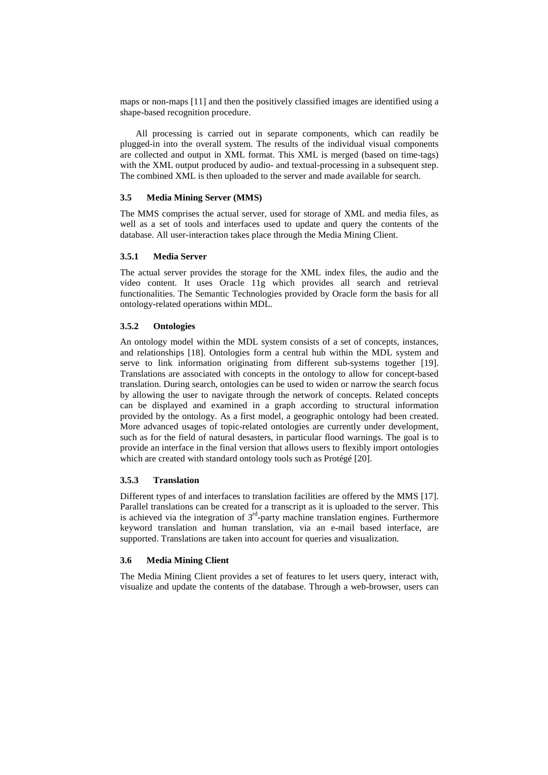maps or non-maps [11] and then the positively classified images are identified using a shape-based recognition procedure.

All processing is carried out in separate components, which can readily be plugged-in into the overall system. The results of the individual visual components are collected and output in XML format. This XML is merged (based on time-tags) with the XML output produced by audio- and textual-processing in a subsequent step. The combined XML is then uploaded to the server and made available for search.

#### **3.5 Media Mining Server (MMS)**

The MMS comprises the actual server, used for storage of XML and media files, as well as a set of tools and interfaces used to update and query the contents of the database. All user-interaction takes place through the Media Mining Client.

### **3.5.1 Media Server**

The actual server provides the storage for the XML index files, the audio and the video content. It uses Oracle 11g which provides all search and retrieval functionalities. The Semantic Technologies provided by Oracle form the basis for all ontology-related operations within MDL.

#### **3.5.2 Ontologies**

An ontology model within the MDL system consists of a set of concepts, instances, and relationships [18]. Ontologies form a central hub within the MDL system and serve to link information originating from different sub-systems together [19]. Translations are associated with concepts in the ontology to allow for concept-based translation. During search, ontologies can be used to widen or narrow the search focus by allowing the user to navigate through the network of concepts. Related concepts can be displayed and examined in a graph according to structural information provided by the ontology. As a first model, a geographic ontology had been created. More advanced usages of topic-related ontologies are currently under development, such as for the field of natural desasters, in particular flood warnings. The goal is to provide an interface in the final version that allows users to flexibly import ontologies which are created with standard ontology tools such as Protégé [20].

### **3.5.3 Translation**

Different types of and interfaces to translation facilities are offered by the MMS [17]. Parallel translations can be created for a transcript as it is uploaded to the server. This is achieved via the integration of  $3<sup>rd</sup>$ -party machine translation engines. Furthermore keyword translation and human translation, via an e-mail based interface, are supported. Translations are taken into account for queries and visualization.

#### **3.6 Media Mining Client**

The Media Mining Client provides a set of features to let users query, interact with, visualize and update the contents of the database. Through a web-browser, users can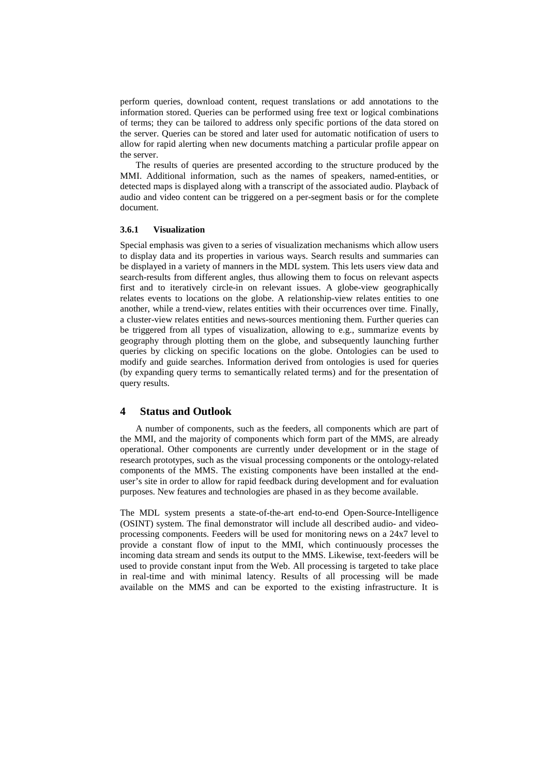perform queries, download content, request translations or add annotations to the information stored. Queries can be performed using free text or logical combinations of terms; they can be tailored to address only specific portions of the data stored on the server. Queries can be stored and later used for automatic notification of users to allow for rapid alerting when new documents matching a particular profile appear on the server.

The results of queries are presented according to the structure produced by the MMI. Additional information, such as the names of speakers, named-entities, or detected maps is displayed along with a transcript of the associated audio. Playback of audio and video content can be triggered on a per-segment basis or for the complete document.

#### **3.6.1 Visualization**

Special emphasis was given to a series of visualization mechanisms which allow users to display data and its properties in various ways. Search results and summaries can be displayed in a variety of manners in the MDL system. This lets users view data and search-results from different angles, thus allowing them to focus on relevant aspects first and to iteratively circle-in on relevant issues. A globe-view geographically relates events to locations on the globe. A relationship-view relates entities to one another, while a trend-view, relates entities with their occurrences over time. Finally, a cluster-view relates entities and news-sources mentioning them. Further queries can be triggered from all types of visualization, allowing to e.g., summarize events by geography through plotting them on the globe, and subsequently launching further queries by clicking on specific locations on the globe. Ontologies can be used to modify and guide searches. Information derived from ontologies is used for queries (by expanding query terms to semantically related terms) and for the presentation of query results.

### **4 Status and Outlook**

A number of components, such as the feeders, all components which are part of the MMI, and the majority of components which form part of the MMS, are already operational. Other components are currently under development or in the stage of research prototypes, such as the visual processing components or the ontology-related components of the MMS. The existing components have been installed at the enduser's site in order to allow for rapid feedback during development and for evaluation purposes. New features and technologies are phased in as they become available.

The MDL system presents a state-of-the-art end-to-end Open-Source-Intelligence (OSINT) system. The final demonstrator will include all described audio- and videoprocessing components. Feeders will be used for monitoring news on a 24x7 level to provide a constant flow of input to the MMI, which continuously processes the incoming data stream and sends its output to the MMS. Likewise, text-feeders will be used to provide constant input from the Web. All processing is targeted to take place in real-time and with minimal latency. Results of all processing will be made available on the MMS and can be exported to the existing infrastructure. It is